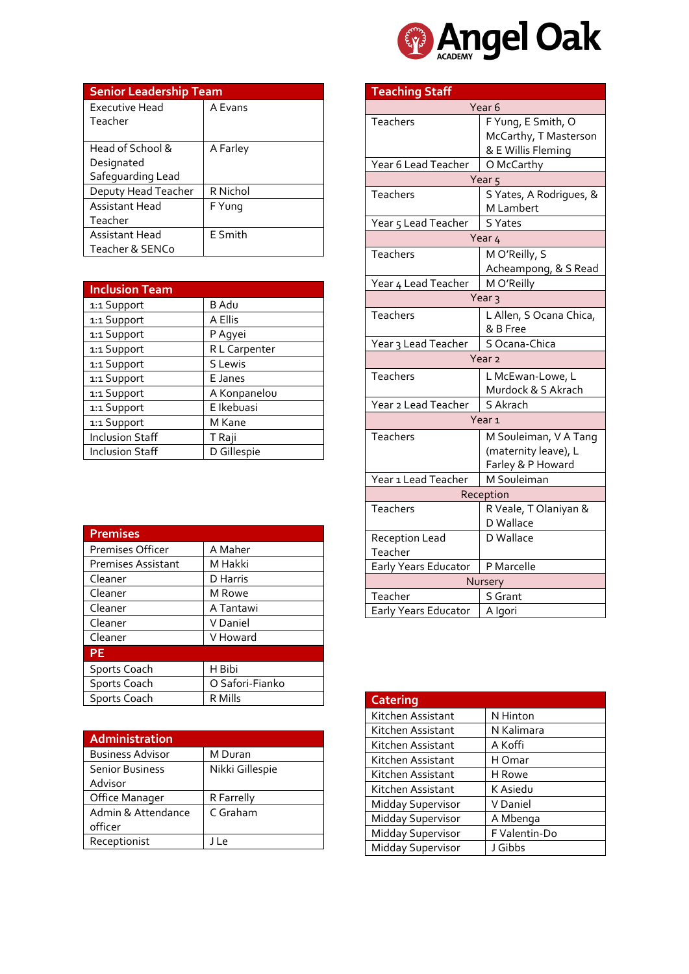

| <b>Senior Leadership Team</b> |          |  |
|-------------------------------|----------|--|
| <b>Executive Head</b>         | A Evans  |  |
| Teacher                       |          |  |
|                               |          |  |
| Head of School &              | A Farley |  |
| Designated                    |          |  |
| Safeguarding Lead             |          |  |
| Deputy Head Teacher           | R Nichol |  |
| Assistant Head                | F Yung   |  |
| Teacher                       |          |  |
| Assistant Head                | E Smith  |  |
| Teacher & SENCo               |          |  |

| <b>Inclusion Team</b>  |               |
|------------------------|---------------|
| 1:1 Support            | <b>B</b> Adu  |
| 1:1 Support            | A Ellis       |
| 1:1 Support            | P Agyei       |
| 1:1 Support            | R L Carpenter |
| 1:1 Support            | S Lewis       |
| 1:1 Support            | E Janes       |
| 1:1 Support            | A Konpanelou  |
| 1:1 Support            | E Ikebuasi    |
| 1:1 Support            | M Kane        |
| <b>Inclusion Staff</b> | T Raji        |
| <b>Inclusion Staff</b> | D Gillespie   |

| <b>Premises</b>           |                 |
|---------------------------|-----------------|
| Premises Officer          | A Maher         |
| <b>Premises Assistant</b> | M Hakki         |
| Cleaner                   | D Harris        |
| Cleaner                   | M Rowe          |
| Cleaner                   | A Tantawi       |
| Cleaner                   | V Daniel        |
| Cleaner                   | V Howard        |
| <b>PE</b>                 |                 |
| <b>Sports Coach</b>       | H Bibi          |
| Sports Coach              | O Safori-Fianko |
| Sports Coach              | R Mills         |

| Administration          |                 |
|-------------------------|-----------------|
| <b>Business Advisor</b> | M Duran         |
| <b>Senior Business</b>  | Nikki Gillespie |
| Advisor                 |                 |
| Office Manager          | R Farrelly      |
| Admin & Attendance      | C Graham        |
| officer                 |                 |
| Receptionist            | ۱۱e             |

|                       | <b>Teaching Staff</b>   |  |
|-----------------------|-------------------------|--|
|                       | Year <sub>6</sub>       |  |
| Teachers              | F Yung, E Smith, O      |  |
|                       | McCarthy, T Masterson   |  |
|                       | & E Willis Fleming      |  |
| Year 6 Lead Teacher   | O McCarthy              |  |
|                       | Year <sub>5</sub>       |  |
| <b>Teachers</b>       | S Yates, A Rodrigues, & |  |
|                       | M Lambert               |  |
| Year 5 Lead Teacher   | <b>S</b> Yates          |  |
|                       | Year 4                  |  |
| Teachers              | M O'Reilly, S           |  |
|                       | Acheampong, & S Read    |  |
| Year 4 Lead Teacher   | M O'Reilly              |  |
|                       | Year <sub>3</sub>       |  |
| <b>Teachers</b>       | L Allen, S Ocana Chica, |  |
|                       | & B Free                |  |
| Year 3 Lead Teacher   | S Ocana-Chica           |  |
|                       | Year <sub>2</sub>       |  |
| Teachers              | L McEwan-Lowe, L        |  |
|                       | Murdock & S Akrach      |  |
| Year 2 Lead Teacher   | S Akrach                |  |
|                       | Year <sub>1</sub>       |  |
| Teachers              | M Souleiman, V A Tang   |  |
|                       | (maternity leave), L    |  |
|                       | Farley & P Howard       |  |
| Year 1 Lead Teacher   | M Souleiman             |  |
| Reception             |                         |  |
| Teachers              | R Veale, T Olaniyan &   |  |
|                       | D Wallace               |  |
| <b>Reception Lead</b> | D Wallace               |  |
| Teacher               |                         |  |
| Early Years Educator  | P Marcelle              |  |
| Nursery               |                         |  |
| Teacher               | S Grant                 |  |
| Early Years Educator  | A Igori                 |  |

| <b>Catering</b>          |               |
|--------------------------|---------------|
| Kitchen Assistant        | N Hinton      |
| Kitchen Assistant        | N Kalimara    |
| Kitchen Assistant        | A Koffi       |
| Kitchen Assistant        | H Omar        |
| Kitchen Assistant        | H Rowe        |
| Kitchen Assistant        | K Asiedu      |
| <b>Midday Supervisor</b> | V Daniel      |
| Midday Supervisor        | A Mbenga      |
| Midday Supervisor        | F Valentin-Do |
| Midday Supervisor        | J Gibbs       |